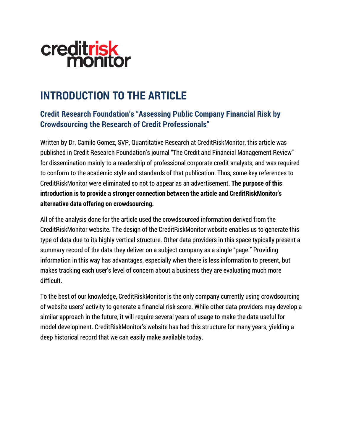# creditrisk<br>monitor

### **INTRODUCTION TO THE ARTICLE**

#### **Credit Research Foundation's "Assessing Public Company Financial Risk by Crowdsourcing the Research of Credit Professionals"**

Written by Dr. Camilo Gomez, SVP, Quantitative Research at CreditRiskMonitor, this article was published in Credit Research Foundation's journal "The Credit and Financial Management Review" for dissemination mainly to a readership of professional corporate credit analysts, and was required to conform to the academic style and standards of that publication. Thus, some key references to CreditRiskMonitor were eliminated so not to appear as an advertisement. **The purpose of this introduction is to provide a stronger connection between the article and CreditRiskMonitor's alternative data offering on crowdsourcing.**

All of the analysis done for the article used the crowdsourced information derived from the CreditRiskMonitor website. The design of the CreditRiskMonitor website enables us to generate this type of data due to its highly vertical structure. Other data providers in this space typically present a summary record of the data they deliver on a subject company as a single "page." Providing information in this way has advantages, especially when there is less information to present, but makes tracking each user's level of concern about a business they are evaluating much more difficult.

To the best of our knowledge, CreditRiskMonitor is the only company currently using crowdsourcing of website users' activity to generate a financial risk score. While other data providers may develop a similar approach in the future, it will require several years of usage to make the data useful for model development. CreditRiskMonitor's website has had this structure for many years, yielding a deep historical record that we can easily make available today.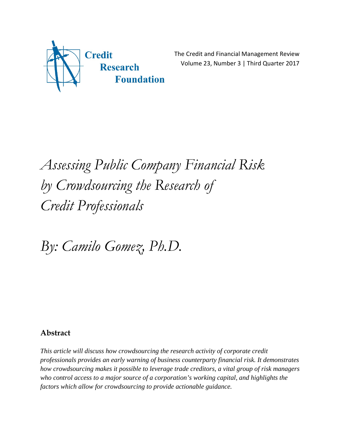

The Credit and Financial Management Review Volume 23, Number 3 | Third Quarter 2017

## *Assessing Public Company Financial Risk by Crowdsourcing the Research of Credit Professionals*

*By: Camilo Gomez, Ph.D.*

#### **Abstract**

*This article will discuss how crowdsourcing the research activity of corporate credit professionals provides an early warning of business counterparty financial risk. It demonstrates how crowdsourcing makes it possible to leverage trade creditors, a vital group of risk managers who control access to a major source of a corporation's working capital, and highlights the factors which allow for crowdsourcing to provide actionable guidance.*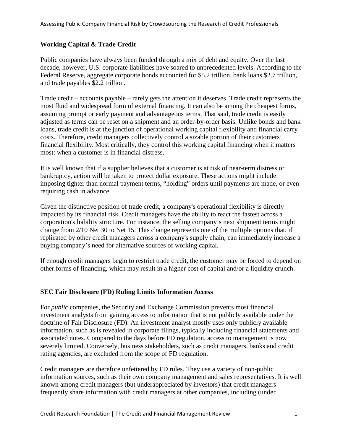#### **Working Capital & Trade Credit**

Public companies have always been funded through a mix of debt and equity. Over the last decade, however, U.S. corporate liabilities have soared to unprecedented levels. According to the Federal Reserve, aggregate corporate bonds accounted for \$5.2 trillion, bank loans \$2.7 trillion, and trade payables \$2.2 trillion.

Trade credit – accounts payable – rarely gets the attention it deserves. Trade credit represents the most fluid and widespread form of external financing. It can also be among the cheapest forms, assuming prompt or early payment and advantageous terms. That said, trade credit is easily adjusted as terms can be reset on a shipment and an order-by-order basis. Unlike bonds and bank loans, trade credit is at the junction of operational working capital flexibility and financial carry costs. Therefore, credit managers collectively control a sizable portion of their customers' financial flexibility. Most critically, they control this working capital financing when it matters most: when a customer is in financial distress.

It is well known that if a supplier believes that a customer is at risk of near-term distress or bankruptcy, action will be taken to protect dollar exposure. These actions might include: imposing tighter than normal payment terms, "holding" orders until payments are made, or even requiring cash in advance.

Given the distinctive position of trade credit, a company's operational flexibility is directly impacted by its financial risk. Credit managers have the ability to react the fastest across a corporation's liability structure. For instance, the selling company's next shipment terms might change from 2/10 Net 30 to Net 15. This change represents one of the multiple options that, if replicated by other credit managers across a company's supply chain, can immediately increase a buying company's need for alternative sources of working capital.

If enough credit managers begin to restrict trade credit, the customer may be forced to depend on other forms of financing, which may result in a higher cost of capital and/or a liquidity crunch.

#### **SEC Fair Disclosure (FD) Ruling Limits Information Access**

For *public* companies, the Security and Exchange Commission prevents most financial investment analysts from gaining access to information that is not publicly available under the doctrine of Fair Disclosure (FD). An investment analyst mostly uses only publicly available information, such as is revealed in corporate filings, typically including financial statements and associated notes. Compared to the days before FD regulation, access to management is now severely limited. Conversely, business stakeholders, such as credit managers, banks and credit rating agencies, are excluded from the scope of FD regulation.

Credit managers are therefore unfettered by FD rules. They use a variety of non-public information sources, such as their own company management and sales representatives. It is well known among credit managers (but underappreciated by investors) that credit managers frequently share information with credit managers at other companies, including (under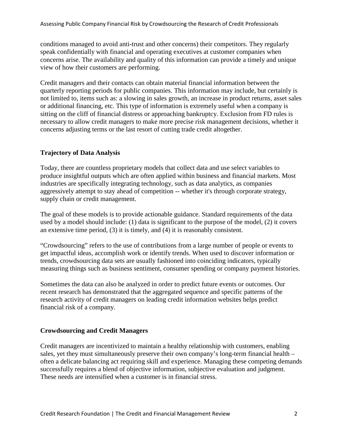conditions managed to avoid anti-trust and other concerns) their competitors. They regularly speak confidentially with financial and operating executives at customer companies when concerns arise. The availability and quality of this information can provide a timely and unique view of how their customers are performing.

Credit managers and their contacts can obtain material financial information between the quarterly reporting periods for public companies. This information may include, but certainly is not limited to, items such as: a slowing in sales growth, an increase in product returns, asset sales or additional financing, etc. This type of information is extremely useful when a company is sitting on the cliff of financial distress or approaching bankruptcy. Exclusion from FD rules is necessary to allow credit managers to make more precise risk management decisions, whether it concerns adjusting terms or the last resort of cutting trade credit altogether.

#### **Trajectory of Data Analysis**

Today, there are countless proprietary models that collect data and use select variables to produce insightful outputs which are often applied within business and financial markets. Most industries are specifically integrating technology, such as data analytics, as companies aggressively attempt to stay ahead of competition -- whether it's through corporate strategy, supply chain or credit management.

The goal of these models is to provide actionable guidance. Standard requirements of the data used by a model should include: (1) data is significant to the purpose of the model, (2) it covers an extensive time period, (3) it is timely, and (4) it is reasonably consistent.

"Crowdsourcing" refers to the use of contributions from a large number of people or events to get impactful ideas, accomplish work or identify trends. When used to discover information or trends, crowdsourcing data sets are usually fashioned into coinciding indicators, typically measuring things such as business sentiment, consumer spending or company payment histories.

Sometimes the data can also be analyzed in order to predict future events or outcomes. Our recent research has demonstrated that the aggregated sequence and specific patterns of the research activity of credit managers on leading credit information websites helps predict financial risk of a company.

#### **Crowdsourcing and Credit Managers**

Credit managers are incentivized to maintain a healthy relationship with customers, enabling sales, yet they must simultaneously preserve their own company's long-term financial health – often a delicate balancing act requiring skill and experience. Managing these competing demands successfully requires a blend of objective information, subjective evaluation and judgment. These needs are intensified when a customer is in financial stress.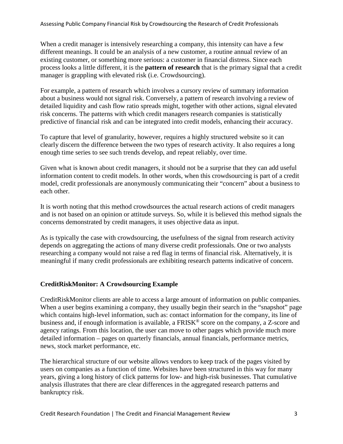When a credit manager is intensively researching a company, this intensity can have a few different meanings. It could be an analysis of a new customer, a routine annual review of an existing customer, or something more serious: a customer in financial distress. Since each process looks a little different, it is the **pattern of research** that is the primary signal that a credit manager is grappling with elevated risk (i.e. Crowdsourcing).

For example, a pattern of research which involves a cursory review of summary information about a business would not signal risk. Conversely, a pattern of research involving a review of detailed liquidity and cash flow ratio spreads might, together with other actions, signal elevated risk concerns. The patterns with which credit managers research companies is statistically predictive of financial risk and can be integrated into credit models, enhancing their accuracy.

To capture that level of granularity, however, requires a highly structured website so it can clearly discern the difference between the two types of research activity. It also requires a long enough time series to see such trends develop, and repeat reliably, over time.

Given what is known about credit managers, it should not be a surprise that they can add useful information content to credit models. In other words, when this crowdsourcing is part of a credit model, credit professionals are anonymously communicating their "concern" about a business to each other.

It is worth noting that this method crowdsources the actual research actions of credit managers and is not based on an opinion or attitude surveys. So, while it is believed this method signals the concerns demonstrated by credit managers, it uses objective data as input.

As is typically the case with crowdsourcing, the usefulness of the signal from research activity depends on aggregating the actions of many diverse credit professionals. One or two analysts researching a company would not raise a red flag in terms of financial risk. Alternatively, it is meaningful if many credit professionals are exhibiting research patterns indicative of concern.

#### **CreditRiskMonitor: A Crowdsourcing Example**

CreditRiskMonitor clients are able to access a large amount of information on public companies. When a user begins examining a company, they usually begin their search in the "snapshot" page which contains high-level information, such as: contact information for the company, its line of business and, if enough information is available, a FRISK<sup>®</sup> score on the company, a Z-score and agency ratings. From this location, the user can move to other pages which provide much more detailed information – pages on quarterly financials, annual financials, performance metrics, news, stock market performance, etc.

The hierarchical structure of our website allows vendors to keep track of the pages visited by users on companies as a function of time. Websites have been structured in this way for many years, giving a long history of click patterns for low- and high-risk businesses. That cumulative analysis illustrates that there are clear differences in the aggregated research patterns and bankruptcy risk.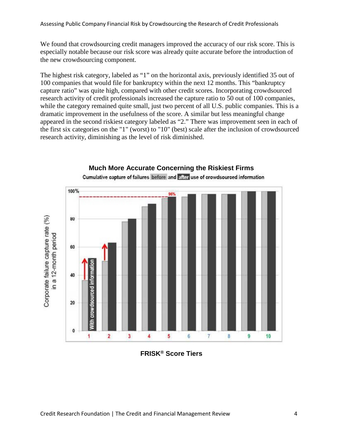We found that crowdsourcing credit managers improved the accuracy of our risk score. This is especially notable because our risk score was already quite accurate before the introduction of the new crowdsourcing component.

The highest risk category, labeled as "1" on the horizontal axis, previously identified 35 out of 100 companies that would file for bankruptcy within the next 12 months. This "bankruptcy capture ratio" was quite high, compared with other credit scores. Incorporating crowdsourced research activity of credit professionals increased the capture ratio to 50 out of 100 companies, while the category remained quite small, just two percent of all U.S. public companies. This is a dramatic improvement in the usefulness of the score. A similar but less meaningful change appeared in the second riskiest category labeled as "2." There was improvement seen in each of the first six categories on the "1" (worst) to "10" (best) scale after the inclusion of crowdsourced research activity, diminishing as the level of risk diminished.



**FRISK® Score Tiers**